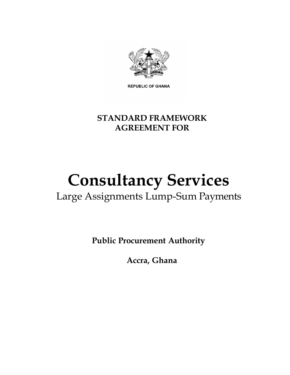

**REPUBLIC OF GHANA** 

# **STANDARD FRAMEWORK AGREEMENT FOR**

# **Consultancy Services**

# Large Assignments Lump-Sum Payments

**Public Procurement Authority**

**Accra, Ghana**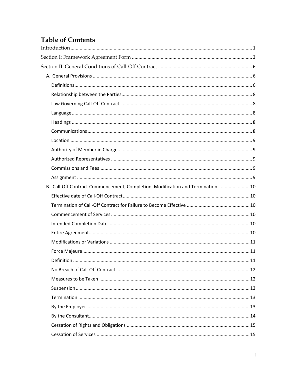# **Table of Contents**

| B. Call-Off Contract Commencement, Completion, Modification and Termination  10 |  |
|---------------------------------------------------------------------------------|--|
|                                                                                 |  |
|                                                                                 |  |
|                                                                                 |  |
|                                                                                 |  |
|                                                                                 |  |
|                                                                                 |  |
|                                                                                 |  |
|                                                                                 |  |
|                                                                                 |  |
|                                                                                 |  |
|                                                                                 |  |
|                                                                                 |  |
|                                                                                 |  |
|                                                                                 |  |
|                                                                                 |  |
|                                                                                 |  |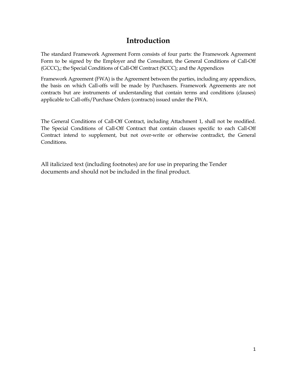# **Introduction**

<span id="page-4-0"></span>The standard Framework Agreement Form consists of four parts: the Framework Agreement Form to be signed by the Employer and the Consultant, the General Conditions of Call-Off (GCCC),; the Special Conditions of Call-Off Contract (SCCC); and the Appendices

Framework Agreement (FWA) is the Agreement between the parties, including any appendices, the basis on which Call-offs will be made by Purchasers. Framework Agreements are not contracts but are instruments of understanding that contain terms and conditions (clauses) applicable to Call-offs/Purchase Orders (contracts) issued under the FWA.

The General Conditions of Call-Off Contract, including Attachment 1, shall not be modified. The Special Conditions of Call-Off Contract that contain clauses specific to each Call-Off Contract intend to supplement, but not over-write or otherwise contradict, the General Conditions.

All italicized text (including footnotes) are for use in preparing the Tender documents and should not be included in the final product.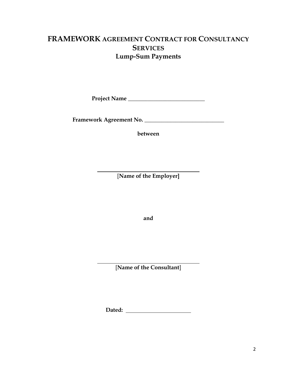## **FRAMEWORK AGREEMENT CONTRACT FOR CONSULTANCY SERVICES Lump-Sum Payments**

**Project Name** \_\_\_\_\_\_\_\_\_\_\_\_\_\_\_\_\_\_\_\_\_\_\_\_\_\_\_

**Framework Agreement No.** \_\_\_\_\_\_\_\_\_\_\_\_\_\_\_\_\_\_\_\_\_\_\_\_\_\_\_\_

**between**

[**Name of the Employer]**

**and**

[**Name of the Consultant**]

**Dated:**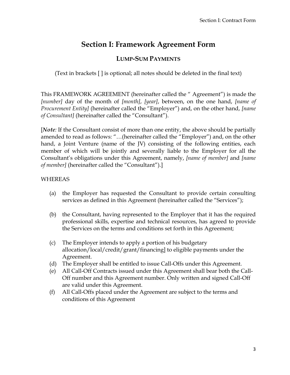# **Section I: Framework Agreement Form**

## **LUMP-SUM PAYMENTS**

<span id="page-6-0"></span>(Text in brackets [ ] is optional; all notes should be deleted in the final text)

This FRAMEWORK AGREEMENT (hereinafter called the " Agreement") is made the *[number]* day of the month of *[month]*, *[year]*, between, on the one hand, *[name of Procurement Entity]* (hereinafter called the "Employer") and, on the other hand, *[name of Consultant]* (hereinafter called the "Consultant").

[*Note*: If the Consultant consist of more than one entity, the above should be partially amended to read as follows: "…(hereinafter called the "Employer") and, on the other hand, a Joint Venture (name of the JV) consisting of the following entities, each member of which will be jointly and severally liable to the Employer for all the Consultant's obligations under this Agreement, namely, *[name of member]* and *[name of member]* (hereinafter called the "Consultant").]

#### WHEREAS

- (a) the Employer has requested the Consultant to provide certain consulting services as defined in this Agreement (hereinafter called the "Services");
- (b) the Consultant, having represented to the Employer that it has the required professional skills, expertise and technical resources, has agreed to provide the Services on the terms and conditions set forth in this Agreement;
- (c) The Employer intends to apply a portion of his budgetary allocation/local/credit/grant/financing] to eligible payments under the Agreement.
- (d) The Employer shall be entitled to issue Call-Offs under this Agreement.
- (e) All Call-Off Contracts issued under this Agreement shall bear both the Call-Off number and this Agreement number. Only written and signed Call-Off are valid under this Agreement.
- (f) All Call-Offs placed under the Agreement are subject to the terms and conditions of this Agreement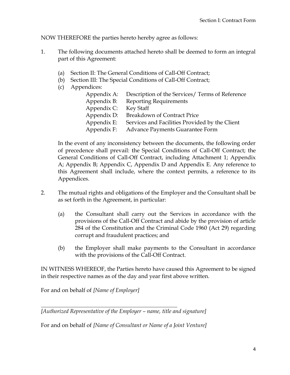NOW THEREFORE the parties hereto hereby agree as follows:

- 1. The following documents attached hereto shall be deemed to form an integral part of this Agreement:
	- (a) Section II: The General Conditions of Call-Off Contract;
	- (b) Section III: The Special Conditions of Call-Off Contract;
	- (c) Appendices:

|             | Appendix A: Description of the Services/ Terms of Reference |
|-------------|-------------------------------------------------------------|
| Appendix B: | <b>Reporting Requirements</b>                               |
| Appendix C: | Key Staff                                                   |
| Appendix D: | <b>Breakdown of Contract Price</b>                          |
| Appendix E: | Services and Facilities Provided by the Client              |
| Appendix F: | <b>Advance Payments Guarantee Form</b>                      |

In the event of any inconsistency between the documents, the following order of precedence shall prevail: the Special Conditions of Call-Off Contract; the General Conditions of Call-Off Contract, including Attachment 1; Appendix A; Appendix B; Appendix C, Appendix D and Appendix E. Any reference to this Agreement shall include, where the context permits, a reference to its Appendices.

- 2. The mutual rights and obligations of the Employer and the Consultant shall be as set forth in the Agreement, in particular:
	- (a) the Consultant shall carry out the Services in accordance with the provisions of the Call-Off Contract and abide by the provision of article 284 of the Constitution and the Criminal Code 1960 (Act 29) regarding corrupt and fraudulent practices; and
	- (b) the Employer shall make payments to the Consultant in accordance with the provisions of the Call-Off Contract.

IN WITNESS WHEREOF, the Parties hereto have caused this Agreement to be signed in their respective names as of the day and year first above written.

For and on behalf of *[Name of Employer]*

*[Authorized Representative of the Employer – name, title and signature]*

For and on behalf of *[Name of Consultant or Name of a Joint Venture]*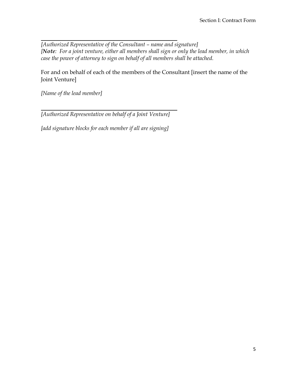*[Authorized Representative of the Consultant – name and signature] [Note: For a joint venture, either all members shall sign or only the lead member, in which case the power of attorney to sign on behalf of all members shall be attached.* 

For and on behalf of each of the members of the Consultant [insert the name of the Joint Venture]

*[Name of the lead member]*

*[Authorized Representative on behalf of a Joint Venture]*

*[add signature blocks for each member if all are signing]*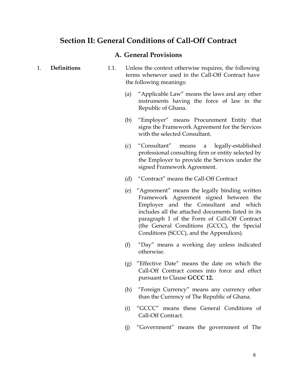## <span id="page-9-0"></span>**Section II: General Conditions of Call-Off Contract**

#### **A. General Provisions**

- <span id="page-9-2"></span><span id="page-9-1"></span>1. **Definitions** 1.1. Unless the context otherwise requires, the following terms whenever used in the Call-Off Contract have the following meanings:
	- (a) "Applicable Law" means the laws and any other instruments having the force of law in the Republic of Ghana.
	- (b) "Employer" means Procurement Entity that signs the Framework Agreement for the Services with the selected Consultant.
	- (c) "Consultant" means a legally-established professional consulting firm or entity selected by the Employer to provide the Services under the signed Framework Agreement.
	- (d) "Contract" means the Call-Off Contract
	- (e) "Agreement" means the legally binding written Framework Agreement signed between the Employer and the Consultant and which includes all the attached documents listed in its paragraph 1 of the Form of Call-Off Contract (the General Conditions (GCCC), the Special Conditions (SCCC), and the Appendices).
	- (f) "Day" means a working day unless indicated otherwise.
	- (g) "Effective Date" means the date on which the Call-Off Contract comes into force and effect pursuant to Clause **GCCC 12.**
	- (h) "Foreign Currency" means any currency other than the Currency of The Republic of Ghana.
	- (i) "GCCC" means these General Conditions of Call-Off Contract.
	- (j) "Government" means the government of The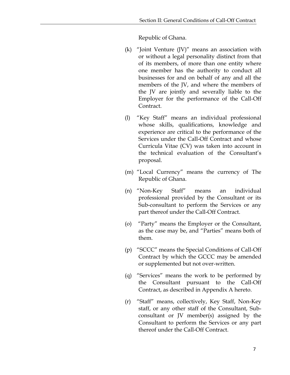Republic of Ghana.

- (k) "Joint Venture (JV)" means an association with or without a legal personality distinct from that of its members, of more than one entity where one member has the authority to conduct all businesses for and on behalf of any and all the members of the JV, and where the members of the JV are jointly and severally liable to the Employer for the performance of the Call-Off Contract.
- (l) "Key Staff" means an individual professional whose skills, qualifications, knowledge and experience are critical to the performance of the Services under the Call-Off Contract and whose Curricula Vitae (CV) was taken into account in the technical evaluation of the Consultant's proposal.
- (m) "Local Currency" means the currency of The Republic of Ghana.
- (n) "Non-Key Staff" means an individual professional provided by the Consultant or its Sub-consultant to perform the Services or any part thereof under the Call-Off Contract.
- (o) "Party" means the Employer or the Consultant, as the case may be, and "Parties" means both of them.
- (p) "SCCC" means the Special Conditions of Call-Off Contract by which the GCCC may be amended or supplemented but not over-written.
- (q) "Services" means the work to be performed by the Consultant pursuant to the Call-Off Contract, as described in Appendix A hereto.
- (r) "Staff" means, collectively, Key Staff, Non-Key staff, or any other staff of the Consultant, Subconsultant or JV member(s) assigned by the Consultant to perform the Services or any part thereof under the Call-Off Contract.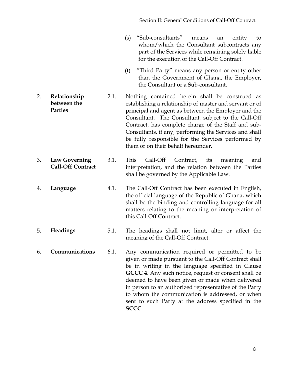- (s) "Sub-consultants" means an entity to whom/which the Consultant subcontracts any part of the Services while remaining solely liable for the execution of the Call-Off Contract.
- (t) "Third Party" means any person or entity other than the Government of Ghana, the Employer, the Consultant or a Sub-consultant.
- <span id="page-11-0"></span>2. **Relationship between the Parties** 2.1. Nothing contained herein shall be construed as establishing a relationship of master and servant or of principal and agent as between the Employer and the Consultant. The Consultant, subject to the Call-Off Contract, has complete charge of the Staff and sub-Consultants, if any, performing the Services and shall be fully responsible for the Services performed by them or on their behalf hereunder.
- <span id="page-11-1"></span>3. **Law Governing Call-Off Contract** 3.1. This Call-Off Contract, its meaning and interpretation, and the relation between the Parties shall be governed by the Applicable Law.
- <span id="page-11-2"></span>4. **Language** 4.1. The Call-Off Contract has been executed in English, the official language of the Republic of Ghana, which shall be the binding and controlling language for all matters relating to the meaning or interpretation of this Call-Off Contract.
- <span id="page-11-3"></span>5. **Headings** 5.1. The headings shall not limit, alter or affect the meaning of the Call-Off Contract.
- <span id="page-11-4"></span>6. **Communications** 6.1. Any communication required or permitted to be given or made pursuant to the Call-Off Contract shall be in writing in the language specified in Clause **GCCC 4**. Any such notice, request or consent shall be deemed to have been given or made when delivered in person to an authorized representative of the Party to whom the communication is addressed, or when sent to such Party at the address specified in the **SCCC**.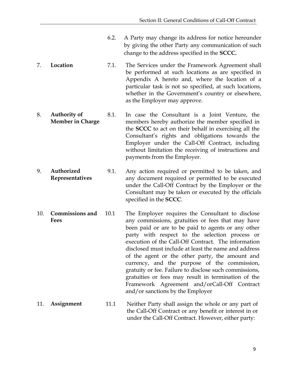- 6.2. A Party may change its address for notice hereunder by giving the other Party any communication of such change to the address specified in the **SCCC.**
- <span id="page-12-0"></span>7. **Location** 7.1. The Services under the Framework Agreement shall be performed at such locations as are specified in Appendix A hereto and, where the location of a particular task is not so specified, at such locations, whether in the Government's country or elsewhere, as the Employer may approve.
- <span id="page-12-1"></span>8. **Authority of Member in Charge** 8.1. In case the Consultant is a Joint Venture, the members hereby authorize the member specified in the **SCCC** to act on their behalf in exercising all the Consultant's rights and obligations towards the Employer under the Call-Off Contract, including without limitation the receiving of instructions and payments from the Employer.
- <span id="page-12-2"></span>9. **Authorized Representatives** 9.1. Any action required or permitted to be taken, and any document required or permitted to be executed under the Call-Off Contract by the Employer or the Consultant may be taken or executed by the officials specified in the **SCCC**.
- <span id="page-12-3"></span>10. **Commissions and Fees** 10.1 The Employer requires the Consultant to disclose any commissions, gratuities or fees that may have been paid or are to be paid to agents or any other party with respect to the selection process or execution of the Call-Off Contract. The information disclosed must include at least the name and address of the agent or the other party, the amount and currency, and the purpose of the commission, gratuity or fee. Failure to disclose such commissions, gratuities or fees may result in termination of the Framework Agreement and/orCall-Off Contract and/or sanctions by the Employer
- <span id="page-12-4"></span>11. **Assignment** 11.1 Neither Party shall assign the whole or any part of the Call-Off Contract or any benefit or interest in or under the Call-Off Contract. However, either party: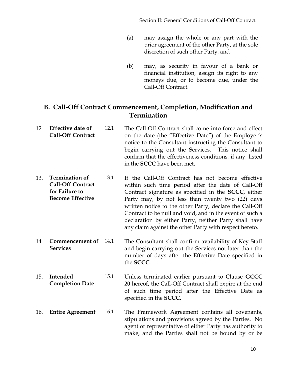- (a) may assign the whole or any part with the prior agreement of the other Party, at the sole discretion of such other Party, and
- (b) may, as security in favour of a bank or financial institution, assign its right to any moneys due, or to become due, under the Call-Off Contract.

### <span id="page-13-0"></span>**B. Call-Off Contract Commencement, Completion, Modification and Termination**

- <span id="page-13-1"></span>12. **Effective date of Call-Off Contract** 12.1 The Call-Off Contract shall come into force and effect on the date (the "Effective Date") of the Employer's notice to the Consultant instructing the Consultant to begin carrying out the Services. This notice shall confirm that the effectiveness conditions, if any, listed in the **SCCC** have been met.
- <span id="page-13-2"></span>13. **Termination of Call-Off Contract for Failure to Become Effective** 13.1 If the Call-Off Contract has not become effective within such time period after the date of Call-Off Contract signature as specified in the **SCCC**, either Party may, by not less than twenty two (22) days written notice to the other Party, declare the Call-Off Contract to be null and void, and in the event of such a declaration by either Party, neither Party shall have any claim against the other Party with respect hereto.
- <span id="page-13-3"></span>14. **Commencement of Services** The Consultant shall confirm availability of Key Staff and begin carrying out the Services not later than the number of days after the Effective Date specified in the **SCCC**.
- <span id="page-13-4"></span>15. **Intended Completion Date** 15.1 Unless terminated earlier pursuant to Clause **GCCC 20** hereof, the Call-Off Contract shall expire at the end of such time period after the Effective Date as specified in the **SCCC**.
- <span id="page-13-5"></span>16. **Entire Agreement** 16.1 The Framework Agreement contains all covenants, stipulations and provisions agreed by the Parties. No agent or representative of either Party has authority to make, and the Parties shall not be bound by or be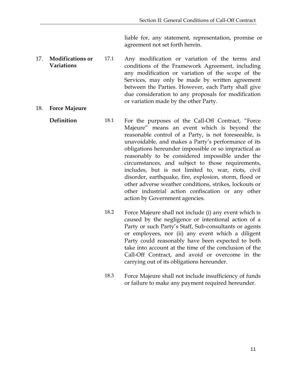liable for, any statement, representation, promise or agreement not set forth herein.

- <span id="page-14-0"></span>17. **Modifications or Variations** 17.1 Any modification or variation of the terms and conditions of the Framework Agreement, including any modification or variation of the scope of the Services, may only be made by written agreement between the Parties. However, each Party shall give due consideration to any proposals for modification or variation made by the other Party.
- <span id="page-14-2"></span><span id="page-14-1"></span>18. **Force Majeure**
	- **Definition** 18.1 For the purposes of the Call-Off Contract, "Force Majeure" means an event which is beyond the reasonable control of a Party, is not foreseeable, is unavoidable, and makes a Party's performance of its obligations hereunder impossible or so impractical as reasonably to be considered impossible under the circumstances, and subject to those requirements, includes, but is not limited to, war, riots, civil disorder, earthquake, fire, explosion, storm, flood or other adverse weather conditions, strikes, lockouts or other industrial action confiscation or any other action by Government agencies.
		- 18.2 Force Majeure shall not include (i) any event which is caused by the negligence or intentional action of a Party or such Party's Staff, Sub-consultants or agents or employees, nor (ii) any event which a diligent Party could reasonably have been expected to both take into account at the time of the conclusion of the Call-Off Contract, and avoid or overcome in the carrying out of its obligations hereunder.
		- 18.3 Force Majeure shall not include insufficiency of funds or failure to make any payment required hereunder.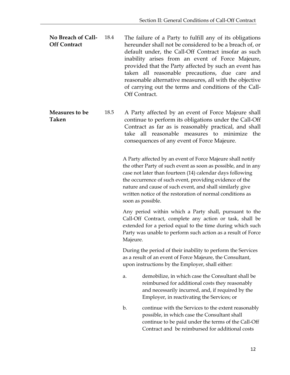<span id="page-15-0"></span>**No Breach of Call-Off Contract** 18.4 The failure of a Party to fulfill any of its obligations hereunder shall not be considered to be a breach of, or default under, the Call-Off Contract insofar as such inability arises from an event of Force Majeure, provided that the Party affected by such an event has taken all reasonable precautions, due care and reasonable alternative measures, all with the objective of carrying out the terms and conditions of the Call-Off Contract.

<span id="page-15-1"></span>**Measures to be Taken** 18.5 A Party affected by an event of Force Majeure shall continue to perform its obligations under the Call-Off Contract as far as is reasonably practical, and shall take all reasonable measures to minimize the consequences of any event of Force Majeure.

> A Party affected by an event of Force Majeure shall notify the other Party of such event as soon as possible, and in any case not later than fourteen (14) calendar days following the occurrence of such event, providing evidence of the nature and cause of such event, and shall similarly give written notice of the restoration of normal conditions as soon as possible.

> Any period within which a Party shall, pursuant to the Call-Off Contract, complete any action or task, shall be extended for a period equal to the time during which such Party was unable to perform such action as a result of Force Majeure.

During the period of their inability to perform the Services as a result of an event of Force Majeure, the Consultant, upon instructions by the Employer, shall either:

- a. demobilize, in which case the Consultant shall be reimbursed for additional costs they reasonably and necessarily incurred, and, if required by the Employer, in reactivating the Services; or
- b. continue with the Services to the extent reasonably possible, in which case the Consultant shall continue to be paid under the terms of the Call-Off Contract and be reimbursed for additional costs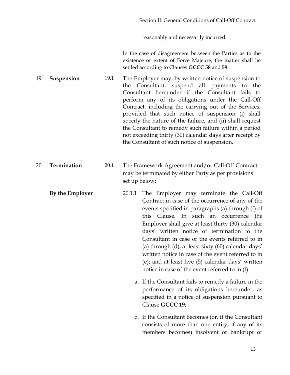reasonably and necessarily incurred.

In the case of disagreement between the Parties as to the existence or extent of Force Majeure, the matter shall be settled according to Clauses **GCCC 58** and **59**.

<span id="page-16-0"></span>19. **Suspension** 19.1 The Employer may, by written notice of suspension to the Consultant, suspend all payments to the Consultant hereunder if the Consultant fails to perform any of its obligations under the Call-Off Contract, including the carrying out of the Services, provided that such notice of suspension (i) shall specify the nature of the failure, and (ii) shall request the Consultant to remedy such failure within a period not exceeding thirty (30) calendar days after receipt by the Consultant of such notice of suspension.

- <span id="page-16-2"></span><span id="page-16-1"></span>20. **Termination** 20.1 The Framework Agreement and/or Call-Off Contract may be terminated by either Party as per provisions set up below:
	- **By the Employer** 20.1.1 The Employer may terminate the Call-Off Contract in case of the occurrence of any of the events specified in paragraphs (a) through (f) of this Clause. In such an occurrence the Employer shall give at least thirty (30) calendar days' written notice of termination to the Consultant in case of the events referred to in (a) through (d); at least sixty (60) calendar days' written notice in case of the event referred to in (e); and at least five (5) calendar days' written notice in case of the event referred to in (f):
		- a. If the Consultant fails to remedy a failure in the performance of its obligations hereunder, as specified in a notice of suspension pursuant to Clause **GCCC 19**;
		- b. If the Consultant becomes (or, if the Consultant consists of more than one entity, if any of its members becomes) insolvent or bankrupt or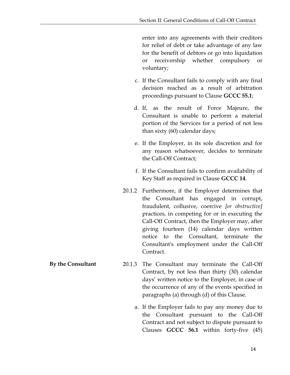enter into any agreements with their creditors for relief of debt or take advantage of any law for the benefit of debtors or go into liquidation or receivership whether compulsory or voluntary;

- c. If the Consultant fails to comply with any final decision reached as a result of arbitration proceedings pursuant to Clause **GCCC 55.1**;
- d. If, as the result of Force Majeure, the Consultant is unable to perform a material portion of the Services for a period of not less than sixty (60) calendar days;
- e. If the Employer, in its sole discretion and for any reason whatsoever, decides to terminate the Call-Off Contract;
- f. If the Consultant fails to confirm availability of Key Staff as required in Clause **GCCC 14**.
- 20.1.2 Furthermore, if the Employer determines that the Consultant has engaged in corrupt, fraudulent, collusive, coercive *[or obstructive]* practices, in competing for or in executing the Call-Off Contract, then the Employer may, after giving fourteen (14) calendar days written notice to the Consultant, terminate the Consultant's employment under the Call-Off Contract.
- <span id="page-17-0"></span>**By the Consultant** 20.1.3 The Consultant may terminate the Call-Off Contract, by not less than thirty (30) calendar days' written notice to the Employer, in case of the occurrence of any of the events specified in paragraphs (a) through (d) of this Clause.
	- a. If the Employer fails to pay any money due to the Consultant pursuant to the Call-Off Contract and not subject to dispute pursuant to Clauses **GCCC 56.1** within forty-five (45)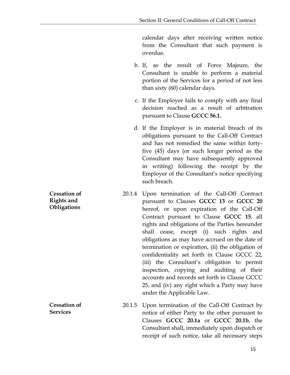calendar days after receiving written notice from the Consultant that such payment is overdue.

- b. If, as the result of Force Majeure, the Consultant is unable to perform a material portion of the Services for a period of not less than sixty (60) calendar days.
- c. If the Employer fails to comply with any final decision reached as a result of arbitration pursuant to Clause **GCCC 56.1.**
- d. If the Employer is in material breach of its obligations pursuant to the Call-Off Contract and has not remedied the same within fortyfive (45) days (or such longer period as the Consultant may have subsequently approved in writing) following the receipt by the Employer of the Consultant's notice specifying such breach.
- 20.1.4 Upon termination of the Call-Off Contract pursuant to Clauses **GCCC 13** or **GCCC 20** hereof, or upon expiration of the Call-Off Contract pursuant to Clause **GCCC 15**, all rights and obligations of the Parties hereunder shall cease, except (i) such rights and obligations as may have accrued on the date of termination or expiration, (ii) the obligation of confidentiality set forth in Clause GCCC 22, (iii) the Consultant's obligation to permit inspection, copying and auditing of their accounts and records set forth in Clause GCCC 25, and (iv) any right which a Party may have under the Applicable Law.
- 20.1.5 Upon termination of the Call-Off Contract by notice of either Party to the other pursuant to Clauses **GCCC 20.1a** or **GCCC 20.1b**, the Consultant shall, immediately upon dispatch or receipt of such notice, take all necessary steps

<span id="page-18-0"></span>**Cessation of Rights and Obligations**

<span id="page-18-1"></span>**Cessation of Services**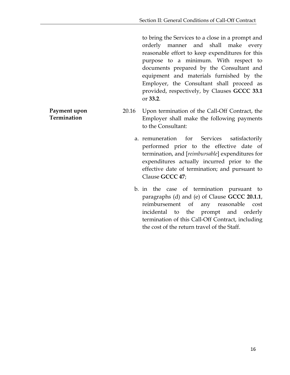to bring the Services to a close in a prompt and orderly manner and shall make every reasonable effort to keep expenditures for this purpose to a minimum. With respect to documents prepared by the Consultant and equipment and materials furnished by the Employer, the Consultant shall proceed as provided, respectively, by Clauses **GCCC 33.1** or **33.2**.

- 20.16 Upon termination of the Call-Off Contract, the Employer shall make the following payments to the Consultant:
	- a. remuneration for Services satisfactorily performed prior to the effective date of termination, and [*reimbursable*] expenditures for expenditures actually incurred prior to the effective date of termination; and pursuant to Clause **GCCC 47**;
	- b. in the case of termination pursuant to paragraphs (d) and (e) of Clause **GCCC 20.1.1**, reimbursement of any reasonable cost incidental to the prompt and orderly termination of this Call-Off Contract, including the cost of the return travel of the Staff.

<span id="page-19-0"></span>**Payment upon Termination**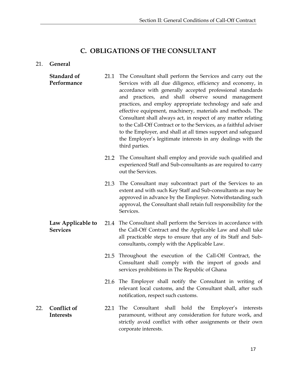#### **C. OBLIGATIONS OF THE CONSULTANT**

#### <span id="page-20-1"></span><span id="page-20-0"></span>21. **General**

- <span id="page-20-2"></span>**Standard of Performance** 21.1 The Consultant shall perform the Services and carry out the Services with all due diligence, efficiency and economy, in accordance with generally accepted professional standards and practices, and shall observe sound management practices, and employ appropriate technology and safe and effective equipment, machinery, materials and methods. The Consultant shall always act, in respect of any matter relating to the Call-Off Contract or to the Services, as a faithful adviser to the Employer, and shall at all times support and safeguard the Employer's legitimate interests in any dealings with the third parties.
	- 21.2 The Consultant shall employ and provide such qualified and experienced Staff and Sub-consultants as are required to carry out the Services.
	- 21.3 The Consultant may subcontract part of the Services to an extent and with such Key Staff and Sub-consultants as may be approved in advance by the Employer. Notwithstanding such approval, the Consultant shall retain full responsibility for the Services.
- <span id="page-20-3"></span>**Law Applicable to Services** 21.4 The Consultant shall perform the Services in accordance with the Call-Off Contract and the Applicable Law and shall take all practicable steps to ensure that any of its Staff and Subconsultants, comply with the Applicable Law.
	- 21.5 Throughout the execution of the Call-Off Contract, the Consultant shall comply with the import of goods and services prohibitions in The Republic of Ghana
	- 21.6 The Employer shall notify the Consultant in writing of relevant local customs, and the Consultant shall, after such notification, respect such customs.
- <span id="page-20-4"></span>22. **Conflict of Interests** 22.1 The Consultant shall hold the Employer's interests paramount, without any consideration for future work, and strictly avoid conflict with other assignments or their own corporate interests.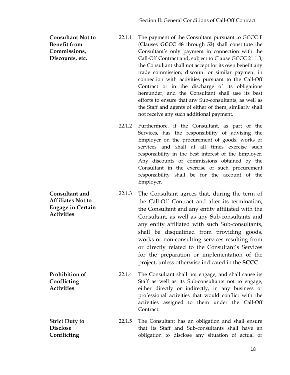<span id="page-21-0"></span>**Consultant Not to Benefit from Commissions, Discounts, etc.** 22.1.1 The payment of the Consultant pursuant to GCCC F (Clauses **GCCC 48** through **53**) shall constitute the Consultant's only payment in connection with the Call-Off Contract and, subject to Clause GCCC 21.1.3, the Consultant shall not accept for its own benefit any trade commission, discount or similar payment in connection with activities pursuant to the Call-Off Contract or in the discharge of its obligations hereunder, and the Consultant shall use its best efforts to ensure that any Sub-consultants, as well as the Staff and agents of either of them, similarly shall not receive any such additional payment.

- 22.1.2 Furthermore, if the Consultant, as part of the Services, has the responsibility of advising the Employer on the procurement of goods, works or services and shall at all times exercise such responsibility in the best interest of the Employer. Any discounts or commissions obtained by the Consultant in the exercise of such procurement responsibility shall be for the account of the Employer.
- <span id="page-21-1"></span>**Consultant and Affiliates Not to Engage in Certain Activities** 22.1.3 The Consultant agrees that, during the term of the Call-Off Contract and after its termination, the Consultant and any entity affiliated with the Consultant, as well as any Sub-consultants and any entity affiliated with such Sub-consultants, shall be disqualified from providing goods, works or non-consulting services resulting from or directly related to the Consultant's Services for the preparation or implementation of the project, unless otherwise indicated in the **SCCC**.

<span id="page-21-2"></span>**Prohibition of Conflicting Activities** 22.1.4 The Consultant shall not engage, and shall cause its Staff as well as its Sub-consultants not to engage, either directly or indirectly, in any business or professional activities that would conflict with the activities assigned to them under the Call-Off Contract.

<span id="page-21-3"></span>**Strict Duty to Disclose Conflicting**  22.1.5 The Consultant has an obligation and shall ensure that its Staff and Sub-consultants shall have an obligation to disclose any situation of actual or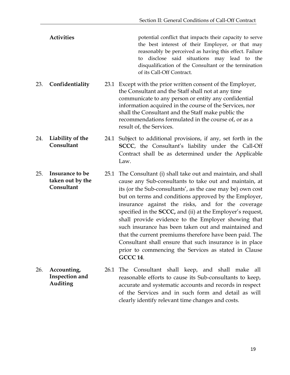Activities **Activities** potential conflict that impacts their capacity to serve the best interest of their Employer, or that may reasonably be perceived as having this effect. Failure to disclose said situations may lead to the disqualification of the Consultant or the termination of its Call-Off Contract.

<span id="page-22-0"></span>23. **Confidentiality** 23.1 Except with the prior written consent of the Employer, the Consultant and the Staff shall not at any time communicate to any person or entity any confidential information acquired in the course of the Services, nor shall the Consultant and the Staff make public the recommendations formulated in the course of, or as a result of, the Services.

<span id="page-22-1"></span>24. **Liability of the Consultant** 24.1 Subject to additional provisions, if any, set forth in the **SCCC**, the Consultant's liability under the Call-Off Contract shall be as determined under the Applicable Law.

<span id="page-22-2"></span>25. **Insurance to be taken out by the Consultant** 25.1 The Consultant (i) shall take out and maintain, and shall cause any Sub-consultants to take out and maintain, at its (or the Sub-consultants', as the case may be) own cost but on terms and conditions approved by the Employer, insurance against the risks, and for the coverage specified in the **SCCC,** and (ii) at the Employer's request, shall provide evidence to the Employer showing that such insurance has been taken out and maintained and that the current premiums therefore have been paid. The Consultant shall ensure that such insurance is in place prior to commencing the Services as stated in Clause **GCCC 14**.

<span id="page-22-3"></span>26. **Accounting, Inspection and Auditing** 26.1 The Consultant shall keep, and shall make all reasonable efforts to cause its Sub-consultants to keep, accurate and systematic accounts and records in respect of the Services and in such form and detail as will clearly identify relevant time changes and costs.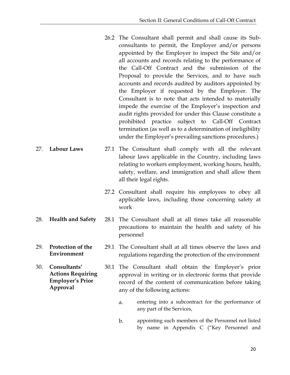- 26.2 The Consultant shall permit and shall cause its Subconsultants to permit, the Employer and/or persons appointed by the Employer to inspect the Site and/or all accounts and records relating to the performance of the Call-Off Contract and the submission of the Proposal to provide the Services, and to have such accounts and records audited by auditors appointed by the Employer if requested by the Employer. The Consultant is to note that acts intended to materially impede the exercise of the Employer's inspection and audit rights provided for under this Clause constitute a prohibited practice subject to Call-Off Contract termination (as well as to a determination of ineligibility under the Employer's prevailing sanctions procedures.)
- <span id="page-23-0"></span>27. **Labour Laws** 27.1 The Consultant shall comply with all the relevant labour laws applicable in the Country, including laws relating to workers employment, working hours, health, safety, welfare, and immigration and shall allow them all their legal rights.
	- 27.2 Consultant shall require his employees to obey all applicable laws, including those concerning safety at work
- <span id="page-23-1"></span>28. **Health and Safety** 28.1 The Consultant shall at all times take all reasonable precautions to maintain the health and safety of his personnel
- <span id="page-23-2"></span>29. **Protection of the Environment** 29.1 The Consultant shall at all times observe the laws and regulations regarding the protection of the environment
- <span id="page-23-3"></span>30. **Consultants' Actions Requiring Employer's Prior Approval** 30.1 The Consultant shall obtain the Employer's prior approval in writing or in electronic forms that provide record of the content of communication before taking any of the following actions:
	- a. entering into a subcontract for the performance of any part of the Services,
	- b. appointing such members of the Personnel not listed by name in Appendix C ("Key Personnel and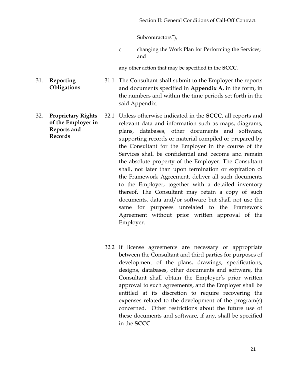Subcontractors"),

c. changing the Work Plan for Performing the Services; and

any other action that may be specified in the **SCCC**.

31.1 The Consultant shall submit to the Employer the reports and documents specified in **Appendix A**, in the form, in the numbers and within the time periods set forth in the said Appendix.

- <span id="page-24-1"></span>32. **Proprietary Rights of the Employer in Reports and Records** 32.1 Unless otherwise indicated in the **SCCC**, all reports and relevant data and information such as maps, diagrams, plans, databases, other documents and software, supporting records or material compiled or prepared by the Consultant for the Employer in the course of the Services shall be confidential and become and remain the absolute property of the Employer. The Consultant shall, not later than upon termination or expiration of the Framework Agreement, deliver all such documents to the Employer, together with a detailed inventory thereof. The Consultant may retain a copy of such documents, data and/or software but shall not use the same for purposes unrelated to the Framework Agreement without prior written approval of the Employer.
	- 32.2 If license agreements are necessary or appropriate between the Consultant and third parties for purposes of development of the plans, drawings, specifications, designs, databases, other documents and software, the Consultant shall obtain the Employer's prior written approval to such agreements, and the Employer shall be entitled at its discretion to require recovering the expenses related to the development of the program(s) concerned. Other restrictions about the future use of these documents and software, if any, shall be specified in the **SCCC**.
- <span id="page-24-0"></span>31. **Reporting Obligations**
-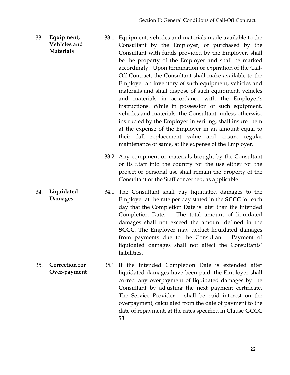- <span id="page-25-0"></span>33. **Equipment, Vehicles and Materials**  33.1 Equipment, vehicles and materials made available to the Consultant by the Employer, or purchased by the Consultant with funds provided by the Employer, shall be the property of the Employer and shall be marked accordingly. Upon termination or expiration of the Call-Off Contract, the Consultant shall make available to the Employer an inventory of such equipment, vehicles and materials and shall dispose of such equipment, vehicles and materials in accordance with the Employer's instructions. While in possession of such equipment, vehicles and materials, the Consultant, unless otherwise instructed by the Employer in writing, shall insure them at the expense of the Employer in an amount equal to their full replacement value and ensure regular maintenance of same, at the expense of the Employer.
	- 33.2 Any equipment or materials brought by the Consultant or its Staff into the country for the use either for the project or personal use shall remain the property of the Consultant or the Staff concerned, as applicable.
- <span id="page-25-1"></span>34. **Liquidated Damages** 34.1 The Consultant shall pay liquidated damages to the Employer at the rate per day stated in the **SCCC** for each day that the Completion Date is later than the Intended Completion Date. The total amount of liquidated damages shall not exceed the amount defined in the **SCCC**. The Employer may deduct liquidated damages from payments due to the Consultant. Payment of liquidated damages shall not affect the Consultants' liabilities.
- <span id="page-25-2"></span>35. **Correction for Over-payment** 35.1 If the Intended Completion Date is extended after liquidated damages have been paid, the Employer shall correct any overpayment of liquidated damages by the Consultant by adjusting the next payment certificate. The Service Provider shall be paid interest on the overpayment, calculated from the date of payment to the date of repayment, at the rates specified in Clause **GCCC 53**.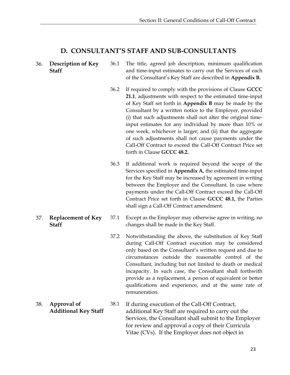#### **D. CONSULTANT'S STAFF AND SUB-CONSULTANTS**

#### <span id="page-26-1"></span><span id="page-26-0"></span>36. **Description of Key Staff** 36.1 The title, agreed job description, minimum qualification and time-input estimates to carry out the Services of each of the Consultant's Key Staff are described in **Appendix B.**

- 36.2 If required to comply with the provisions of Clause **GCCC 21.1**, adjustments with respect to the estimated time-input of Key Staff set forth in **Appendix B** may be made by the Consultant by a written notice to the Employer, provided (i) that such adjustments shall not alter the original timeinput estimates for any individual by more than 10% or one week, whichever is larger; and (ii) that the aggregate of such adjustments shall not cause payments under the Call-Off Contract to exceed the Call-Off Contract Price set forth in Clause **GCCC 48.2.**
- 36.3 If additional work is required beyond the scope of the Services specified in **Appendix A**, the estimated time-input for the Key Staff may be increased by agreement in writing between the Employer and the Consultant. In case where payments under the Call-Off Contract exceed the Call-Off Contract Price set forth in Clause **GCCC 48.1,** the Parties shall sign a Call-Off Contract amendment.
- 37.1 Except as the Employer may otherwise agree in writing, no changes shall be made in the Key Staff.
	- 37.2 Notwithstanding the above, the substitution of Key Staff during Call-Off Contract execution may be considered only based on the Consultant's written request and due to circumstances outside the reasonable control of the Consultant, including but not limited to death or medical incapacity. In such case, the Consultant shall forthwith provide as a replacement, a person of equivalent or better qualifications and experience, and at the same rate of remuneration.
- <span id="page-26-3"></span>38. **Approval of Additional Key Staff** 38.1 If during execution of the Call-Off Contract, additional Key Staff are required to carry out the Services, the Consultant shall submit to the Employer for review and approval a copy of their Curricula Vitae (CVs). If the Employer does not object in

<span id="page-26-2"></span>37. **Replacement of Key Staff**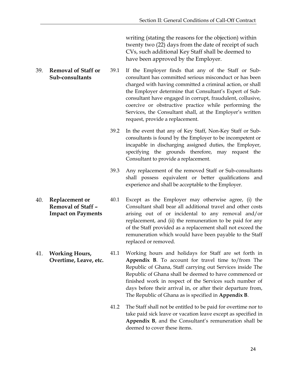writing (stating the reasons for the objection) within twenty two (22) days from the date of receipt of such CVs, such additional Key Staff shall be deemed to have been approved by the Employer.

- <span id="page-27-0"></span>39. **Removal of Staff or Sub-consultants** 39.1 If the Employer finds that any of the Staff or Subconsultant has committed serious misconduct or has been charged with having committed a criminal action, or shall the Employer determine that Consultant's Expert of Subconsultant have engaged in corrupt, fraudulent, collusive, coercive or obstructive practice while performing the Services, the Consultant shall, at the Employer's written request, provide a replacement.
	- 39.2 In the event that any of Key Staff, Non-Key Staff or Subconsultants is found by the Employer to be incompetent or incapable in discharging assigned duties, the Employer, specifying the grounds therefore, may request the Consultant to provide a replacement.
	- 39.3 Any replacement of the removed Staff or Sub-consultants shall possess equivalent or better qualifications and experience and shall be acceptable to the Employer.
- <span id="page-27-1"></span>40. **Replacement or Removal of Staff – Impact on Payments** 40.1 Except as the Employer may otherwise agree, (i) the Consultant shall bear all additional travel and other costs arising out of or incidental to any removal and/or replacement, and (ii) the remuneration to be paid for any of the Staff provided as a replacement shall not exceed the remuneration which would have been payable to the Staff replaced or removed.
- <span id="page-27-2"></span>41. **Working Hours, Overtime, Leave, etc.** 41.1 Working hours and holidays for Staff are set forth in **Appendix B**. To account for travel time to/from The Republic of Ghana, Staff carrying out Services inside The Republic of Ghana shall be deemed to have commenced or finished work in respect of the Services such number of days before their arrival in, or after their departure from, The Republic of Ghana as is specified in **Appendix B**.
	- 41.2 The Staff shall not be entitled to be paid for overtime nor to take paid sick leave or vacation leave except as specified in **Appendix B**, and the Consultant's remuneration shall be deemed to cover these items.

24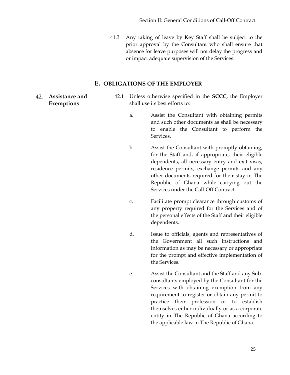41.3 Any taking of leave by Key Staff shall be subject to the prior approval by the Consultant who shall ensure that absence for leave purposes will not delay the progress and or impact adequate supervision of the Services.

#### **E. OBLIGATIONS OF THE EMPLOYER**

- <span id="page-28-1"></span><span id="page-28-0"></span>42. **Assistance and Exemptions**
- 42.1 Unless otherwise specified in the **SCCC**, the Employer shall use its best efforts to:
	- a. Assist the Consultant with obtaining permits and such other documents as shall be necessary to enable the Consultant to perform the Services.
	- b. Assist the Consultant with promptly obtaining, for the Staff and, if appropriate, their eligible dependents, all necessary entry and exit visas, residence permits, exchange permits and any other documents required for their stay in The Republic of Ghana while carrying out the Services under the Call-Off Contract.
	- c. Facilitate prompt clearance through customs of any property required for the Services and of the personal effects of the Staff and their eligible dependents.
	- d. Issue to officials, agents and representatives of the Government all such instructions and information as may be necessary or appropriate for the prompt and effective implementation of the Services.
	- e. Assist the Consultant and the Staff and any Subconsultants employed by the Consultant for the Services with obtaining exemption from any requirement to register or obtain any permit to practice their profession or to establish themselves either individually or as a corporate entity in The Republic of Ghana according to the applicable law in The Republic of Ghana.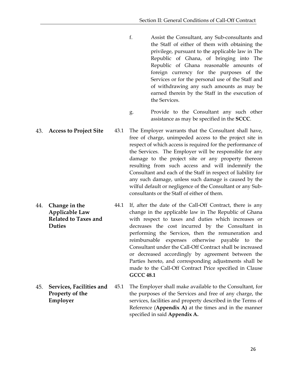- f. Assist the Consultant, any Sub-consultants and the Staff of either of them with obtaining the privilege, pursuant to the applicable law in The Republic of Ghana, of bringing into The Republic of Ghana reasonable amounts of foreign currency for the purposes of the Services or for the personal use of the Staff and of withdrawing any such amounts as may be earned therein by the Staff in the execution of the Services.
- g. Provide to the Consultant any such other assistance as may be specified in the **SCCC**.
- <span id="page-29-0"></span>43. **Access to Project Site** 43.1 The Employer warrants that the Consultant shall have, free of charge, unimpeded access to the project site in respect of which access is required for the performance of the Services. The Employer will be responsible for any damage to the project site or any property thereon resulting from such access and will indemnify the Consultant and each of the Staff in respect of liability for any such damage, unless such damage is caused by the wilful default or negligence of the Consultant or any Subconsultants or the Staff of either of them.

<span id="page-29-1"></span>44. **Change in the Applicable Law Related to Taxes and Duties** 44.1 If, after the date of the Call-Off Contract, there is any change in the applicable law in The Republic of Ghana with respect to taxes and duties which increases or decreases the cost incurred by the Consultant in performing the Services, then the remuneration and reimbursable expenses otherwise payable to the Consultant under the Call-Off Contract shall be increased or decreased accordingly by agreement between the Parties hereto, and corresponding adjustments shall be made to the Call-Off Contract Price specified in Clause **GCCC 48.1**

<span id="page-29-2"></span>45. **Services, Facilities and Property of the Employer** 45.1 The Employer shall make available to the Consultant, for the purposes of the Services and free of any charge, the services, facilities and property described in the Terms of Reference (**Appendix A)** at the times and in the manner specified in said **Appendix A.**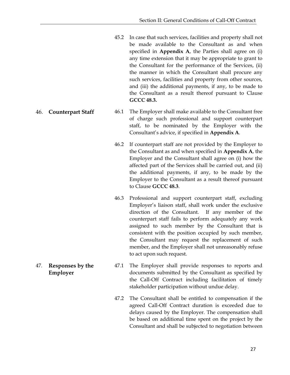- 45.2 In case that such services, facilities and property shall not be made available to the Consultant as and when specified in **Appendix A**, the Parties shall agree on (i) any time extension that it may be appropriate to grant to the Consultant for the performance of the Services, (ii) the manner in which the Consultant shall procure any such services, facilities and property from other sources, and (iii) the additional payments, if any, to be made to the Consultant as a result thereof pursuant to Clause **GCCC 48.3.**
- <span id="page-30-0"></span>46. **Counterpart Staff** 46.1 The Employer shall make available to the Consultant free of charge such professional and support counterpart staff, to be nominated by the Employer with the Consultant's advice, if specified in **Appendix A**.
	- 46.2 If counterpart staff are not provided by the Employer to the Consultant as and when specified in **Appendix A**, the Employer and the Consultant shall agree on (i) how the affected part of the Services shall be carried out, and (ii) the additional payments, if any, to be made by the Employer to the Consultant as a result thereof pursuant to Clause **GCCC 48.3**.
	- 46.3 Professional and support counterpart staff, excluding Employer's liaison staff, shall work under the exclusive direction of the Consultant. If any member of the counterpart staff fails to perform adequately any work assigned to such member by the Consultant that is consistent with the position occupied by such member, the Consultant may request the replacement of such member, and the Employer shall not unreasonably refuse to act upon such request.
	- 47.1 The Employer shall provide responses to reports and documents submitted by the Consultant as specified by the Call-Off Contract including facilitation of timely stakeholder participation without undue delay.
		- 47.2 The Consultant shall be entitled to compensation if the agreed Call-Off Contract duration is exceeded due to delays caused by the Employer. The compensation shall be based on additional time spent on the project by the Consultant and shall be subjected to negotiation between
- <span id="page-30-1"></span>47. **Responses by the Employer**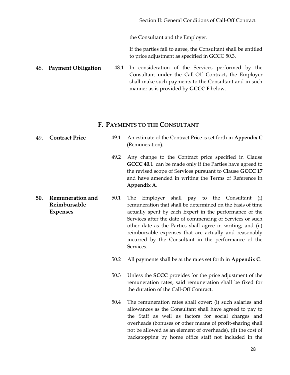the Consultant and the Employer.

If the parties fail to agree, the Consultant shall be entitled to price adjustment as specified in GCCC 50.3.

<span id="page-31-0"></span>48. **Payment Obligation** 48.1 In consideration of the Services performed by the Consultant under the Call-Off Contract, the Employer shall make such payments to the Consultant and in such manner as is provided by **GCCC F** below.

#### **F. PAYMENTS TO THE CONSULTANT**

- <span id="page-31-3"></span><span id="page-31-2"></span><span id="page-31-1"></span>49. **Contract Price** 49.1 An estimate of the Contract Price is set forth in **Appendix C**  (Remuneration)*.* 49.2 Any change to the Contract price specified in Clause **GCCC 40.1** can be made only if the Parties have agreed to the revised scope of Services pursuant to Clause **GCCC 17** and have amended in writing the Terms of Reference in **Appendix A**. **50. Remuneration and Reimbursable Expenses** 50.1 The Employer shall pay to the Consultant (i) remuneration that shall be determined on the basis of time actually spent by each Expert in the performance of the Services after the date of commencing of Services or such other date as the Parties shall agree in writing; and (ii) reimbursable expenses that are actually and reasonably incurred by the Consultant in the performance of the Services. 50.2 All payments shall be at the rates set forth in **Appendix C**.
	- 50.3 Unless the **SCCC** provides for the price adjustment of the remuneration rates, said remuneration shall be fixed for the duration of the Call-Off Contract.
	- 50.4 The remuneration rates shall cover: (i) such salaries and allowances as the Consultant shall have agreed to pay to the Staff as well as factors for social charges and overheads (bonuses or other means of profit-sharing shall not be allowed as an element of overheads), (ii) the cost of backstopping by home office staff not included in the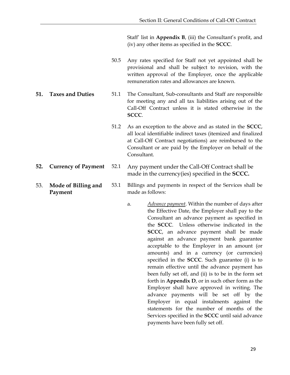Staff' list in **Appendix B**, (iii) the Consultant's profit, and (iv) any other items as specified in the **SCCC**.

- 50.5 Any rates specified for Staff not yet appointed shall be provisional and shall be subject to revision, with the written approval of the Employer, once the applicable remuneration rates and allowances are known.
- <span id="page-32-0"></span>**51. Taxes and Duties** 51.1 The Consultant, Sub-consultants and Staff are responsible for meeting any and all tax liabilities arising out of the Call-Off Contract unless it is stated otherwise in the **SCCC**.
	- 51.2 As an exception to the above and as stated in the **SCCC**, all local identifiable indirect taxes (itemized and finalized at Call-Off Contract negotiations) are reimbursed to the Consultant or are paid by the Employer on behalf of the Consultant.
- <span id="page-32-1"></span>**52. Currency of Payment** 52.1 Any payment under the Call-Off Contract shall be made in the currency(ies) specified in the **SCCC.**
- <span id="page-32-2"></span>53. **Mode of Billing and Payment** 53.1 Billings and payments in respect of the Services shall be made as follows:
	- a. *Advance payment*. Within the number of days after the Effective Date, the Employer shall pay to the Consultant an advance payment as specified in the **SCCC**. Unless otherwise indicated in the **SCCC**, an advance payment shall be made against an advance payment bank guarantee acceptable to the Employer in an amount (or amounts) and in a currency (or currencies) specified in the **SCCC**. Such guarantee (i) is to remain effective until the advance payment has been fully set off, and (ii) is to be in the form set forth in **Appendix D**, or in such other form as the Employer shall have approved in writing. The advance payments will be set off by the Employer in equal instalments against the statements for the number of months of the Services specified in the **SCCC** until said advance payments have been fully set off.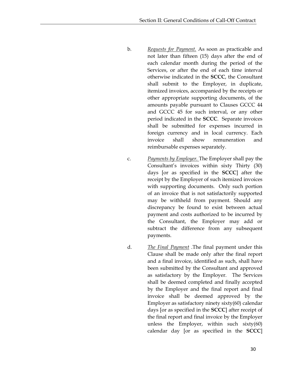- b. *Requests for Payment.* As soon as practicable and not later than fifteen (15) days after the end of each calendar month during the period of the Services, or after the end of each time interval otherwise indicated in the **SCCC**, the Consultant shall submit to the Employer, in duplicate, itemized invoices, accompanied by the receipts or other appropriate supporting documents, of the amounts payable pursuant to Clauses GCCC 44 and GCCC 45 for such interval, or any other period indicated in the **SCCC**. Separate invoices shall be submitted for expenses incurred in foreign currency and in local currency. Each invoice shall show remuneration and reimbursable expenses separately.
- c. *Payments by Employer.* The Employer shall pay the Consultant's invoices within sixty Thirty (30) days [or as specified in the **SCCC**] after the receipt by the Employer of such itemized invoices with supporting documents. Only such portion of an invoice that is not satisfactorily supported may be withheld from payment. Should any discrepancy be found to exist between actual payment and costs authorized to be incurred by the Consultant, the Employer may add or subtract the difference from any subsequent payments.
- d. *The Final Payment* .The final payment under this Clause shall be made only after the final report and a final invoice, identified as such, shall have been submitted by the Consultant and approved as satisfactory by the Employer. The Services shall be deemed completed and finally accepted by the Employer and the final report and final invoice shall be deemed approved by the Employer as satisfactory ninety sixty(60) calendar days [or as specified in the **SCCC**] after receipt of the final report and final invoice by the Employer unless the Employer, within such sixty(60) calendar day [or as specified in the **SCCC**]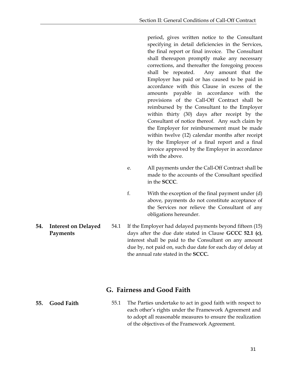period, gives written notice to the Consultant specifying in detail deficiencies in the Services, the final report or final invoice. The Consultant shall thereupon promptly make any necessary corrections, and thereafter the foregoing process shall be repeated. Any amount that the Employer has paid or has caused to be paid in accordance with this Clause in excess of the amounts payable in accordance with the provisions of the Call-Off Contract shall be reimbursed by the Consultant to the Employer within thirty (30) days after receipt by the Consultant of notice thereof. Any such claim by the Employer for reimbursement must be made within twelve (12) calendar months after receipt by the Employer of a final report and a final invoice approved by the Employer in accordance with the above.

- e. All payments under the Call-Off Contract shall be made to the accounts of the Consultant specified in the **SCCC**.
- f. With the exception of the final payment under (d) above, payments do not constitute acceptance of the Services nor relieve the Consultant of any obligations hereunder.
- 54.1 If the Employer had delayed payments beyond fifteen (15) days after the due date stated in Clause **GCCC 52.1 (c)**, interest shall be paid to the Consultant on any amount due by, not paid on, such due date for each day of delay at the annual rate stated in the **SCCC.**

## **G. Fairness and Good Faith**

<span id="page-34-2"></span><span id="page-34-1"></span>**55. Good Faith** 55.1 The Parties undertake to act in good faith with respect to each other's rights under the Framework Agreement and to adopt all reasonable measures to ensure the realization of the objectives of the Framework Agreement.

<span id="page-34-0"></span>**54. Interest on Delayed Payments**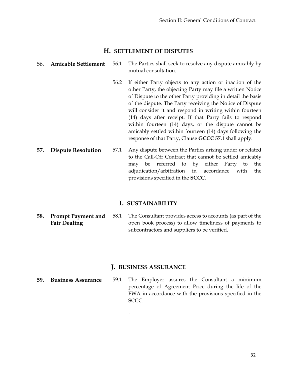#### **H. SETTLEMENT OF DISPUTES**

#### <span id="page-35-1"></span><span id="page-35-0"></span>56. **Amicable Settlement** 56.1 The Parties shall seek to resolve any dispute amicably by mutual consultation.

- 56.2 If either Party objects to any action or inaction of the other Party, the objecting Party may file a written Notice of Dispute to the other Party providing in detail the basis of the dispute. The Party receiving the Notice of Dispute will consider it and respond in writing within fourteen (14) days after receipt. If that Party fails to respond within fourteen (14) days, or the dispute cannot be amicably settled within fourteen (14) days following the response of that Party, Clause **GCCC 57.1** shall apply.
- <span id="page-35-2"></span>**57. Dispute Resolution** 57.1 Any dispute between the Parties arising under or related to the Call-Off Contract that cannot be settled amicably may be referred to by either Party to the adjudication/arbitration in accordance with the provisions specified in the **SCCC**.

#### **I. SUSTAINABILITY**

<span id="page-35-4"></span><span id="page-35-3"></span>**58. Prompt Payment and Fair Dealing** 58.1 The Consultant provides access to accounts (as part of the open book process) to allow timeliness of payments to subcontractors and suppliers to be verified.

#### **J. BUSINESS ASSURANCE**

.

.

- <span id="page-35-6"></span>**59. Business Assurance** 59.1 The Employer assures the Consultant a minimum percentage of Agreement Price during the life of the FWA in accordance with the provisions specified in the SCCC.
- <span id="page-35-5"></span>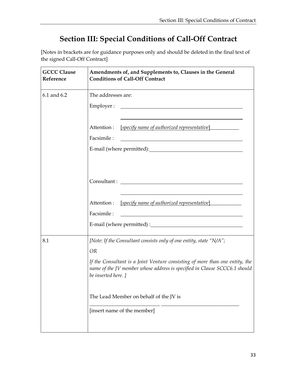# **Section III: Special Conditions of Call-Off Contract**

<span id="page-36-0"></span>[Notes in brackets are for guidance purposes only and should be deleted in the final text of the signed Call-Off Contract]

| <b>GCCC Clause</b><br>Reference | Amendments of, and Supplements to, Clauses in the General<br><b>Conditions of Call-Off Contract</b>                                                                              |  |
|---------------------------------|----------------------------------------------------------------------------------------------------------------------------------------------------------------------------------|--|
| 6.1 and 6.2                     | The addresses are:                                                                                                                                                               |  |
|                                 |                                                                                                                                                                                  |  |
|                                 | Attention :<br>[specify name of authorized representative]                                                                                                                       |  |
|                                 | Facsimile:                                                                                                                                                                       |  |
|                                 |                                                                                                                                                                                  |  |
|                                 |                                                                                                                                                                                  |  |
|                                 | Attention:<br>[specify name of authorized representative]                                                                                                                        |  |
|                                 | Facsimile:                                                                                                                                                                       |  |
|                                 |                                                                                                                                                                                  |  |
| 8.1                             | [Note: If the Consultant consists only of one entity, state "N/A";                                                                                                               |  |
|                                 | <b>OR</b>                                                                                                                                                                        |  |
|                                 | If the Consultant is a Joint Venture consisting of more than one entity, the<br>name of the JV member whose address is specified in Clause SCCC6.1 should<br>be inserted here. ] |  |
|                                 | The Lead Member on behalf of the JV is                                                                                                                                           |  |
|                                 | [insert name of the member]                                                                                                                                                      |  |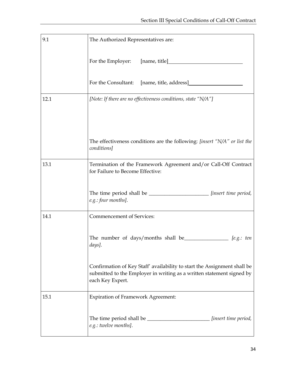| 9.1  | The Authorized Representatives are:                                                                                                                                   |
|------|-----------------------------------------------------------------------------------------------------------------------------------------------------------------------|
|      |                                                                                                                                                                       |
|      | For the Consultant: [name, title, address]                                                                                                                            |
| 12.1 | [Note: If there are no effectiveness conditions, state "N/A"]                                                                                                         |
|      |                                                                                                                                                                       |
|      | The effectiveness conditions are the following: [insert "N/A" or list the<br>conditions]                                                                              |
| 13.1 | Termination of the Framework Agreement and/or Call-Off Contract<br>for Failure to Become Effective:                                                                   |
|      | The time period shall be ______________________ [insert time period,<br>e.g.: four months].                                                                           |
| 14.1 | <b>Commencement of Services:</b>                                                                                                                                      |
|      | The number of days/months shall be____________________ [e.g.: ten<br>days].                                                                                           |
|      | Confirmation of Key Staff' availability to start the Assignment shall be<br>submitted to the Employer in writing as a written statement signed by<br>each Key Expert. |
| 15.1 | <b>Expiration of Framework Agreement:</b>                                                                                                                             |
|      | [insert time period,<br>e.g.: twelve months].                                                                                                                         |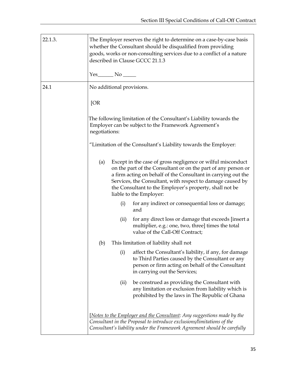| 22.1.3.       | The Employer reserves the right to determine on a case-by-case basis<br>whether the Consultant should be disqualified from providing<br>goods, works or non-consulting services due to a conflict of a nature<br>described in Clause GCCC 21.1.3 |                                                                                                                            |                                                                                                                                                                                                                                                                                                                                                   |
|---------------|--------------------------------------------------------------------------------------------------------------------------------------------------------------------------------------------------------------------------------------------------|----------------------------------------------------------------------------------------------------------------------------|---------------------------------------------------------------------------------------------------------------------------------------------------------------------------------------------------------------------------------------------------------------------------------------------------------------------------------------------------|
|               |                                                                                                                                                                                                                                                  |                                                                                                                            |                                                                                                                                                                                                                                                                                                                                                   |
| 24.1          | No additional provisions.                                                                                                                                                                                                                        |                                                                                                                            |                                                                                                                                                                                                                                                                                                                                                   |
|               | [OR]                                                                                                                                                                                                                                             |                                                                                                                            |                                                                                                                                                                                                                                                                                                                                                   |
| negotiations: |                                                                                                                                                                                                                                                  | The following limitation of the Consultant's Liability towards the<br>Employer can be subject to the Framework Agreement's |                                                                                                                                                                                                                                                                                                                                                   |
|               |                                                                                                                                                                                                                                                  |                                                                                                                            | "Limitation of the Consultant's Liability towards the Employer:                                                                                                                                                                                                                                                                                   |
|               | (a)                                                                                                                                                                                                                                              |                                                                                                                            | Except in the case of gross negligence or wilful misconduct<br>on the part of the Consultant or on the part of any person or<br>a firm acting on behalf of the Consultant in carrying out the<br>Services, the Consultant, with respect to damage caused by<br>the Consultant to the Employer's property, shall not be<br>liable to the Employer: |
|               |                                                                                                                                                                                                                                                  | (i)                                                                                                                        | for any indirect or consequential loss or damage;<br>and                                                                                                                                                                                                                                                                                          |
|               |                                                                                                                                                                                                                                                  | (ii)                                                                                                                       | for any direct loss or damage that exceeds [insert a<br>multiplier, e.g.: one, two, three] times the total<br>value of the Call-Off Contract;                                                                                                                                                                                                     |
|               | (b)                                                                                                                                                                                                                                              |                                                                                                                            | This limitation of liability shall not                                                                                                                                                                                                                                                                                                            |
|               |                                                                                                                                                                                                                                                  | (i)                                                                                                                        | affect the Consultant's liability, if any, for damage<br>to Third Parties caused by the Consultant or any<br>person or firm acting on behalf of the Consultant<br>in carrying out the Services;                                                                                                                                                   |
|               |                                                                                                                                                                                                                                                  | (ii)                                                                                                                       | be construed as providing the Consultant with<br>any limitation or exclusion from liability which is<br>prohibited by the laws in The Republic of Ghana                                                                                                                                                                                           |
|               |                                                                                                                                                                                                                                                  |                                                                                                                            | [Notes to the Employer and the Consultant: Any suggestions made by the<br>Consultant in the Proposal to introduce exclusions/limitations of the<br>Consultant's liability under the Framework Agreement should be carefully                                                                                                                       |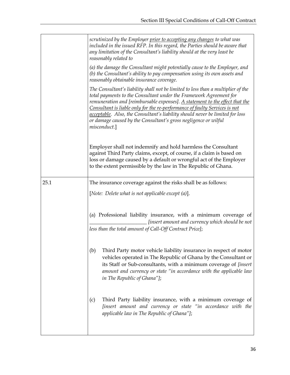|      | scrutinized by the Employer prior to accepting any changes to what was<br>included in the issued RFP. In this regard, the Parties should be aware that<br>any limitation of the Consultant's liability should at the very least be<br>reasonably related to                                                                                                                                                                                                                              |
|------|------------------------------------------------------------------------------------------------------------------------------------------------------------------------------------------------------------------------------------------------------------------------------------------------------------------------------------------------------------------------------------------------------------------------------------------------------------------------------------------|
|      | (a) the damage the Consultant might potentially cause to the Employer, and<br>(b) the Consultant's ability to pay compensation using its own assets and<br>reasonably obtainable insurance coverage.                                                                                                                                                                                                                                                                                     |
|      | The Consultant's liability shall not be limited to less than a multiplier of the<br>total payments to the Consultant under the Framework Agreement for<br>remuneration and [reimbursable expenses]. A statement to the effect that the<br>Consultant is liable only for the re-performance of faulty Services is not<br>acceptable. Also, the Consultant's liability should never be limited for loss<br>or damage caused by the Consultant's gross negligence or wilful<br>misconduct.] |
|      | Employer shall not indemnify and hold harmless the Consultant<br>against Third Party claims, except, of course, if a claim is based on<br>loss or damage caused by a default or wrongful act of the Employer<br>to the extent permissible by the law in The Republic of Ghana.                                                                                                                                                                                                           |
| 25.1 | The insurance coverage against the risks shall be as follows:                                                                                                                                                                                                                                                                                                                                                                                                                            |
|      | [Note: Delete what is not applicable except (a)].                                                                                                                                                                                                                                                                                                                                                                                                                                        |
|      | (a) Professional liability insurance, with a minimum coverage of<br>[insert amount and currency which should be not<br>less than the total amount of Call-Off Contract Price];                                                                                                                                                                                                                                                                                                           |
|      | Third Party motor vehicle liability insurance in respect of motor<br>(b)<br>vehicles operated in The Republic of Ghana by the Consultant or<br>its Staff or Sub-consultants, with a minimum coverage of [insert<br>amount and currency or state "in accordance with the applicable law<br>in The Republic of Ghana"];                                                                                                                                                                    |
|      | Third Party liability insurance, with a minimum coverage of<br>(c)<br>[insert amount and currency or state "in accordance with the<br>applicable law in The Republic of Ghana"];                                                                                                                                                                                                                                                                                                         |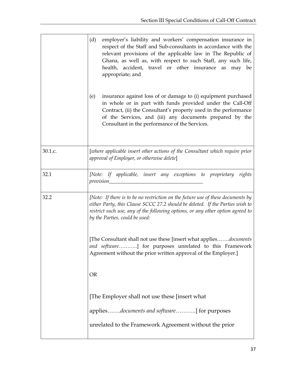|         | (d)<br>employer's liability and workers' compensation insurance in<br>respect of the Staff and Sub-consultants in accordance with the<br>relevant provisions of the applicable law in The Republic of<br>Ghana, as well as, with respect to such Staff, any such life,<br>health, accident, travel or other insurance as may be<br>appropriate; and |  |  |
|---------|-----------------------------------------------------------------------------------------------------------------------------------------------------------------------------------------------------------------------------------------------------------------------------------------------------------------------------------------------------|--|--|
|         | insurance against loss of or damage to (i) equipment purchased<br>(e)<br>in whole or in part with funds provided under the Call-Off<br>Contract, (ii) the Consultant's property used in the performance<br>of the Services, and (iii) any documents prepared by the<br>Consultant in the performance of the Services.                               |  |  |
| 30.1.c. | [where applicable insert other actions of the Consultant which require prior<br>approval of Employer, or otherwise delete]                                                                                                                                                                                                                          |  |  |
| 32.1    | [Note: If applicable, insert any exceptions to proprietary rights                                                                                                                                                                                                                                                                                   |  |  |
| 32.2    | [Note: If there is to be no restriction on the future use of these documents by<br>either Party, this Clause SCCC 27.2 should be deleted. If the Parties wish to<br>restrict such use, any of the following options, or any other option agreed to<br>by the Parties, could be used:                                                                |  |  |
|         | [The Consultant shall not use these [insert what appliesdocuments]<br>and software] for purposes unrelated to this Framework<br>Agreement without the prior written approval of the Employer.]                                                                                                                                                      |  |  |
|         | <b>OR</b>                                                                                                                                                                                                                                                                                                                                           |  |  |
|         | [The Employer shall not use these [insert what]                                                                                                                                                                                                                                                                                                     |  |  |
|         | appliesdocuments and software] for purposes                                                                                                                                                                                                                                                                                                         |  |  |
|         | unrelated to the Framework Agreement without the prior                                                                                                                                                                                                                                                                                              |  |  |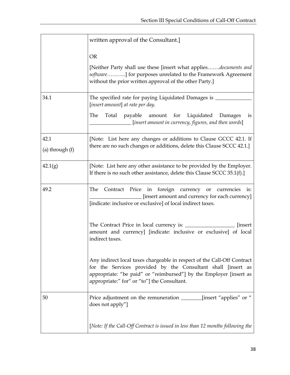|                           | written approval of the Consultant.]                                                                                                                                                                                                                         |
|---------------------------|--------------------------------------------------------------------------------------------------------------------------------------------------------------------------------------------------------------------------------------------------------------|
|                           | <b>OR</b>                                                                                                                                                                                                                                                    |
|                           | [Neither Party shall use these [insert what appliesdocuments and<br>software] for purposes unrelated to the Framework Agreement<br>without the prior written approval of the other Party.]                                                                   |
| 34.1                      | The specified rate for paying Liquidated Damages is _<br>[insert amount] at rate per day.                                                                                                                                                                    |
|                           | The<br>Total payable amount for Liquidated Damages<br>is<br>[insert amount in currency, figures, and then words]                                                                                                                                             |
| 42.1<br>(a) through $(f)$ | [Note: List here any changes or additions to Clause GCCC 42.1. If<br>there are no such changes or additions, delete this Clause SCCC 42.1.]                                                                                                                  |
| 42.1(g)                   | [Note: List here any other assistance to be provided by the Employer.<br>If there is no such other assistance, delete this Clause SCCC 35.1(f).]                                                                                                             |
| 49.2                      | Contract Price in foreign currency or currencies<br>The<br>is:<br>[insert amount and currency for each currency]<br>[indicate: inclusive or exclusive] of local indirect taxes.                                                                              |
|                           | <i>s</i> insert<br>amount and currency] [indicate: inclusive or exclusive] of local<br>indirect taxes.                                                                                                                                                       |
|                           | Any indirect local taxes chargeable in respect of the Call-Off Contract<br>for the Services provided by the Consultant shall [insert as<br>appropriate: "be paid" or "reimbursed"] by the Employer [insert as<br>appropriate:" for" or "to"] the Consultant. |
| 50                        | Price adjustment on the remuneration _________[insert "applies" or "<br>does not apply"]                                                                                                                                                                     |
|                           | [Note: If the Call-Off Contract is issued in less than 12 months following the                                                                                                                                                                               |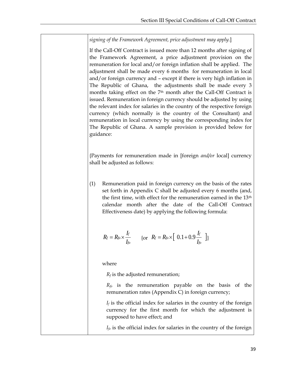*signing of the Framework Agreement, price adjustment may apply.*]

If the Call-Off Contract is issued more than 12 months after signing of the Framework Agreement, a price adjustment provision on the remuneration for local and/or foreign inflation shall be applied. The adjustment shall be made every 6 months for remuneration in local and/or foreign currency and – except if there is very high inflation in The Republic of Ghana, the adjustments shall be made every 3 months taking effect on the 7<sup>th</sup> month after the Call-Off Contract is issued. Remuneration in foreign currency should be adjusted by using the relevant index for salaries in the country of the respective foreign currency (which normally is the country of the Consultant) and remuneration in local currency by using the corresponding index for The Republic of Ghana. A sample provision is provided below for guidance:

{Payments for remuneration made in [foreign *and/or* local] currency shall be adjusted as follows:

(1) Remuneration paid in foreign currency on the basis of the rates set forth in Appendix C shall be adjusted every 6 months (and, the first time, with effect for the remuneration earned in the 13<sup>th</sup> calendar month after the date of the Call-Off Contract Effectiveness date) by applying the following formula:

$$
R_f = R_{fo} \times \frac{I_f}{I_{fo}} \qquad \{\text{or} \ \ R_f = R_{fo} \times \left[ \ \ 0.1 + 0.9 \frac{I_f}{I_{fo}} \ \ \right] \}
$$

where

*R<sup>f</sup>* is the adjusted remuneration;

*Rfo* is the remuneration payable on the basis of the remuneration rates (Appendix C) in foreign currency;

 $I_f$  is the official index for salaries in the country of the foreign currency for the first month for which the adjustment is supposed to have effect; and

 $I_f$ <sup>o</sup> is the official index for salaries in the country of the foreign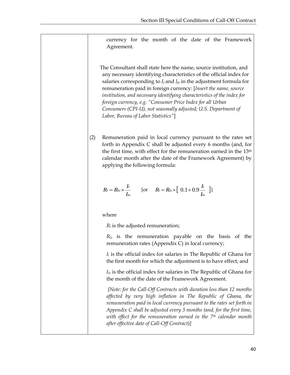currency for the month of the date of the Framework Agreement.

 The Consultant shall state here the name, source institution, and any necessary identifying characteristics of the official index for salaries corresponding to  $I_f$  and  $I_f$  in the adjustment formula for remuneration paid in foreign currency: [*Insert the name, source institution, and necessary identifying characteristics of the index for foreign currency, e.g. "Consumer Price Index for all Urban Consumers (CPI-U), not seasonally adjusted; U.S. Department of Labor, Bureau of Labor Statistics"*]

(2) Remuneration paid in local currency pursuant to the rates set forth in Appendix C shall be adjusted every 6 months (and, for the first time, with effect for the remuneration earned in the 13th calendar month after the date of the Framework Agreement) by applying the following formula:

$$
R_l = R_{l_o} \times \frac{I_l}{I_{l_o}} \qquad \{\text{or} \qquad R_l = R_{l_o} \times \left[ \begin{array}{c} 0.1 + 0.9 \frac{I_l}{I_{l_o}} \end{array} \right] \}
$$

where

*R<sup>l</sup>* is the adjusted remuneration;

*Rlo* is the remuneration payable on the basis of the remuneration rates (Appendix C) in local currency;

*I<sup>l</sup>* is the official index for salaries in The Republic of Ghana for the first month for which the adjustment is to have effect; and

*Ilo* is the official index for salaries in The Republic of Ghana for the month of the date of the Framework Agreement.

*[Note: for the Call-Off Contracts with duration less than 12 months affected by very high inflation in The Republic of Ghana, the remuneration paid in local currency pursuant to the rates set forth in Appendix C shall be adjusted every 3 months (and, for the first time, with effect for the remuneration earned in the 7th calendar month after effective date of Call-Off Contract)]*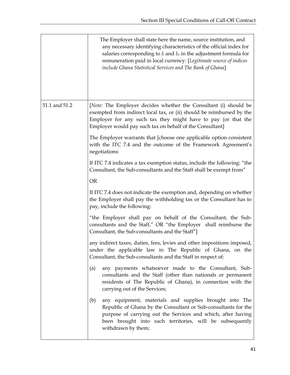|               | The Employer shall state here the name, source institution, and<br>any necessary identifying characteristics of the official index for<br>salaries corresponding to $I_l$ and $I_{lo}$ in the adjustment formula for<br>remuneration paid in local currency: [Legitimate source of indices<br>include Ghana Statistical Services and The Bank of Ghana] |
|---------------|---------------------------------------------------------------------------------------------------------------------------------------------------------------------------------------------------------------------------------------------------------------------------------------------------------------------------------------------------------|
| 51.1 and 51.2 | [Note: The Employer decides whether the Consultant (i) should be<br>exempted from indirect local tax, or (ii) should be reimbursed by the<br>Employer for any such tax they might have to pay (or that the<br>Employer would pay such tax on behalf of the Consultant]                                                                                  |
|               | The Employer warrants that [choose one applicable option consistent<br>with the ITC 7.4 and the outcome of the Framework Agreement's<br>negotiations:                                                                                                                                                                                                   |
|               | If ITC 7.4 indicates a tax exemption status, include the following: "the<br>Consultant, the Sub-consultants and the Staff shall be exempt from"                                                                                                                                                                                                         |
|               | <b>OR</b>                                                                                                                                                                                                                                                                                                                                               |
|               | If ITC 7.4 does not indicate the exemption and, depending on whether<br>the Employer shall pay the withholding tax or the Consultant has to<br>pay, include the following:                                                                                                                                                                              |
|               | "the Employer shall pay on behalf of the Consultant, the Sub-<br>consultants and the Staff," OR "the Employer shall reimburse the<br>Consultant, the Sub-consultants and the Staff"]                                                                                                                                                                    |
|               | any indirect taxes, duties, fees, levies and other impositions imposed,<br>under the applicable law in The Republic of Ghana, on the<br>Consultant, the Sub-consultants and the Staff in respect of:                                                                                                                                                    |
|               | any payments whatsoever made to the Consultant, Sub-<br>(a)<br>consultants and the Staff (other than nationals or permanent<br>residents of The Republic of Ghana), in connection with the<br>carrying out of the Services;                                                                                                                             |
|               | any equipment, materials and supplies brought into The<br>(b)<br>Republic of Ghana by the Consultant or Sub-consultants for the<br>purpose of carrying out the Services and which, after having<br>been brought into such territories, will be subsequently<br>withdrawn by them;                                                                       |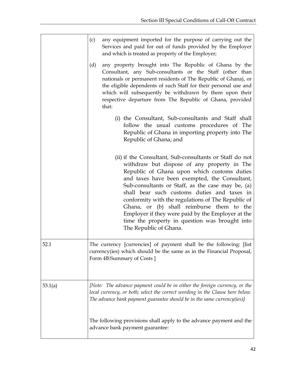|         | any equipment imported for the purpose of carrying out the<br>(c)<br>Services and paid for out of funds provided by the Employer<br>and which is treated as property of the Employer;                                                                                                                                                                                                                                                                                                                                                          |
|---------|------------------------------------------------------------------------------------------------------------------------------------------------------------------------------------------------------------------------------------------------------------------------------------------------------------------------------------------------------------------------------------------------------------------------------------------------------------------------------------------------------------------------------------------------|
|         | any property brought into The Republic of Ghana by the<br>(d)<br>Consultant, any Sub-consultants or the Staff (other than<br>nationals or permanent residents of The Republic of Ghana), or<br>the eligible dependents of such Staff for their personal use and<br>which will subsequently be withdrawn by them upon their<br>respective departure from The Republic of Ghana, provided<br>that:                                                                                                                                               |
|         | (i) the Consultant, Sub-consultants and Staff shall<br>follow the usual customs procedures of The<br>Republic of Ghana in importing property into The<br>Republic of Ghana; and                                                                                                                                                                                                                                                                                                                                                                |
|         | (ii) if the Consultant, Sub-consultants or Staff do not<br>withdraw but dispose of any property in The<br>Republic of Ghana upon which customs duties<br>and taxes have been exempted, the Consultant,<br>Sub-consultants or Staff, as the case may be, (a)<br>shall bear such customs duties and taxes in<br>conformity with the regulations of The Republic of<br>Ghana, or (b) shall reimburse them to the<br>Employer if they were paid by the Employer at the<br>time the property in question was brought into<br>The Republic of Ghana. |
| 52.1    | The currency [currencies] of payment shall be the following: [list]<br>currency(ies) which should be the same as in the Financial Proposal,<br>Form 4B:Summary of Costs ]                                                                                                                                                                                                                                                                                                                                                                      |
| 53.1(a) | [Note: The advance payment could be in either the foreign currency, or the<br>local currency, or both; select the correct wording in the Clause here below.<br>The advance bank payment guarantee should be in the same currency(ies)]                                                                                                                                                                                                                                                                                                         |
|         | The following provisions shall apply to the advance payment and the<br>advance bank payment guarantee:                                                                                                                                                                                                                                                                                                                                                                                                                                         |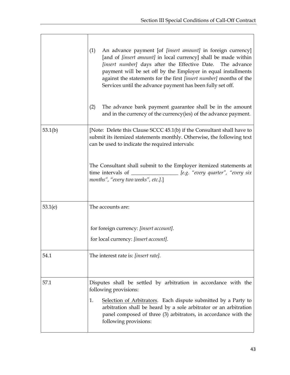|         | An advance payment [of <i>[insert amount]</i> in foreign currency]<br>(1)<br>[and of [insert amount] in local currency] shall be made within<br>[insert number] days after the Effective Date. The advance<br>payment will be set off by the Employer in equal installments<br>against the statements for the first [insert number] months of the<br>Services until the advance payment has been fully set off.<br>The advance bank payment guarantee shall be in the amount<br>(2)<br>and in the currency of the currency(ies) of the advance payment. |  |  |  |  |  |
|---------|---------------------------------------------------------------------------------------------------------------------------------------------------------------------------------------------------------------------------------------------------------------------------------------------------------------------------------------------------------------------------------------------------------------------------------------------------------------------------------------------------------------------------------------------------------|--|--|--|--|--|
| 53.1(b) | [Note: Delete this Clause SCCC 45.1(b) if the Consultant shall have to<br>submit its itemized statements monthly. Otherwise, the following text<br>can be used to indicate the required intervals:                                                                                                                                                                                                                                                                                                                                                      |  |  |  |  |  |
|         | The Consultant shall submit to the Employer itemized statements at<br>time intervals of __________________ [e.g. "every quarter", "every six<br>months", "every two weeks", etc.].]                                                                                                                                                                                                                                                                                                                                                                     |  |  |  |  |  |
| 53.1(e) | The accounts are:                                                                                                                                                                                                                                                                                                                                                                                                                                                                                                                                       |  |  |  |  |  |
|         | for foreign currency: [insert account].<br>for local currency: [insert account].                                                                                                                                                                                                                                                                                                                                                                                                                                                                        |  |  |  |  |  |
| 54.1    | The interest rate is: [insert rate].                                                                                                                                                                                                                                                                                                                                                                                                                                                                                                                    |  |  |  |  |  |
| 57.1    | Disputes shall be settled by arbitration in accordance with the<br>following provisions:<br>1.<br>Selection of Arbitrators. Each dispute submitted by a Party to<br>arbitration shall be heard by a sole arbitrator or an arbitration<br>panel composed of three (3) arbitrators, in accordance with the<br>following provisions:                                                                                                                                                                                                                       |  |  |  |  |  |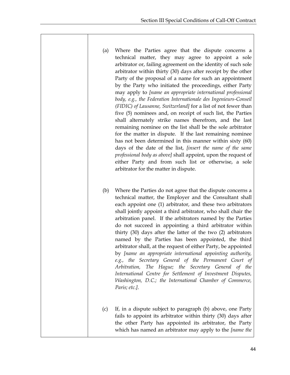- (a) Where the Parties agree that the dispute concerns a technical matter, they may agree to appoint a sole arbitrator or, failing agreement on the identity of such sole arbitrator within thirty (30) days after receipt by the other Party of the proposal of a name for such an appointment by the Party who initiated the proceedings, either Party may apply to *[name an appropriate international professional body, e.g., the Federation Internationale des Ingenieurs-Conseil (FIDIC) of Lausanne, Switzerland]* for a list of not fewer than five (5) nominees and, on receipt of such list, the Parties shall alternately strike names therefrom, and the last remaining nominee on the list shall be the sole arbitrator for the matter in dispute. If the last remaining nominee has not been determined in this manner within sixty (60) days of the date of the list, *[insert the name of the same professional body as above]* shall appoint, upon the request of either Party and from such list or otherwise, a sole arbitrator for the matter in dispute.
- (b) Where the Parties do not agree that the dispute concerns a technical matter, the Employer and the Consultant shall each appoint one (1) arbitrator, and these two arbitrators shall jointly appoint a third arbitrator, who shall chair the arbitration panel. If the arbitrators named by the Parties do not succeed in appointing a third arbitrator within thirty (30) days after the latter of the two (2) arbitrators named by the Parties has been appointed, the third arbitrator shall, at the request of either Party, be appointed by *[name an appropriate international appointing authority, e.g., the Secretary General of the Permanent Court of Arbitration, The Hague; the Secretary General of the International Centre for Settlement of Investment Disputes, Washington, D.C.; the International Chamber of Commerce, Paris; etc.]*.
- (c) If, in a dispute subject to paragraph (b) above, one Party fails to appoint its arbitrator within thirty (30) days after the other Party has appointed its arbitrator, the Party which has named an arbitrator may apply to the *[name the*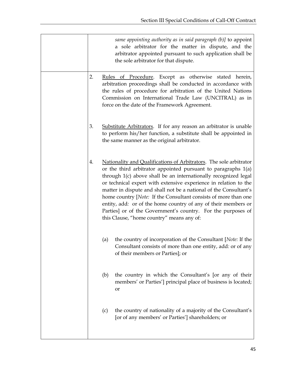| same appointing authority as in said paragraph $(b)$ ] to appoint<br>a sole arbitrator for the matter in dispute, and the<br>arbitrator appointed pursuant to such application shall be<br>the sole arbitrator for that dispute. |                                                                                                                                                                                                                                                                                                                                                                                                                                                                                                                                                                                                     |  |  |  |  |  |
|----------------------------------------------------------------------------------------------------------------------------------------------------------------------------------------------------------------------------------|-----------------------------------------------------------------------------------------------------------------------------------------------------------------------------------------------------------------------------------------------------------------------------------------------------------------------------------------------------------------------------------------------------------------------------------------------------------------------------------------------------------------------------------------------------------------------------------------------------|--|--|--|--|--|
| 2.                                                                                                                                                                                                                               | Rules of Procedure. Except as otherwise stated herein,<br>arbitration proceedings shall be conducted in accordance with<br>the rules of procedure for arbitration of the United Nations<br>Commission on International Trade Law (UNCITRAL) as in<br>force on the date of the Framework Agreement.                                                                                                                                                                                                                                                                                                  |  |  |  |  |  |
| 3.                                                                                                                                                                                                                               | Substitute Arbitrators. If for any reason an arbitrator is unable<br>to perform his/her function, a substitute shall be appointed in<br>the same manner as the original arbitrator.                                                                                                                                                                                                                                                                                                                                                                                                                 |  |  |  |  |  |
| 4.                                                                                                                                                                                                                               | Nationality and Qualifications of Arbitrators. The sole arbitrator<br>or the third arbitrator appointed pursuant to paragraphs $1(a)$<br>through 1(c) above shall be an internationally recognized legal<br>or technical expert with extensive experience in relation to the<br>matter in dispute and shall not be a national of the Consultant's<br>home country [Note: If the Consultant consists of more than one<br>entity, add: or of the home country of any of their members or<br>Parties] or of the Government's country. For the purposes of<br>this Clause, "home country" means any of: |  |  |  |  |  |
| (a)                                                                                                                                                                                                                              | the country of incorporation of the Consultant [Note: If the<br>Consultant consists of more than one entity, add: or of any<br>of their members or Parties]; or                                                                                                                                                                                                                                                                                                                                                                                                                                     |  |  |  |  |  |
| (b)                                                                                                                                                                                                                              | the country in which the Consultant's [or any of their<br>members' or Parties'] principal place of business is located;<br><b>or</b>                                                                                                                                                                                                                                                                                                                                                                                                                                                                |  |  |  |  |  |
| (c)                                                                                                                                                                                                                              | the country of nationality of a majority of the Consultant's<br>[or of any members' or Parties'] shareholders; or                                                                                                                                                                                                                                                                                                                                                                                                                                                                                   |  |  |  |  |  |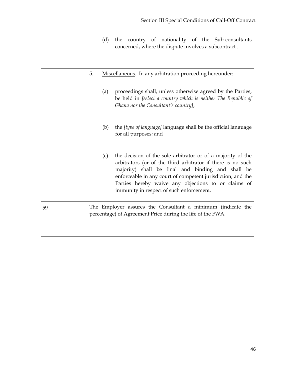|    | (d) | the country of nationality of the Sub-consultants<br>concerned, where the dispute involves a subcontract.                                                                                                                                                                                                                                         |  |  |  |  |  |  |
|----|-----|---------------------------------------------------------------------------------------------------------------------------------------------------------------------------------------------------------------------------------------------------------------------------------------------------------------------------------------------------|--|--|--|--|--|--|
|    | 5.  | Miscellaneous. In any arbitration proceeding hereunder:                                                                                                                                                                                                                                                                                           |  |  |  |  |  |  |
|    | (a) | proceedings shall, unless otherwise agreed by the Parties,<br>be held in [select a country which is neither The Republic of<br>Ghana nor the Consultant's country];                                                                                                                                                                               |  |  |  |  |  |  |
|    | (b) | the <i>[type of language]</i> language shall be the official language<br>for all purposes; and                                                                                                                                                                                                                                                    |  |  |  |  |  |  |
|    | (c) | the decision of the sole arbitrator or of a majority of the<br>arbitrators (or of the third arbitrator if there is no such<br>majority) shall be final and binding and shall be<br>enforceable in any court of competent jurisdiction, and the<br>Parties hereby waive any objections to or claims of<br>immunity in respect of such enforcement. |  |  |  |  |  |  |
| 59 |     | The Employer assures the Consultant a minimum (indicate the<br>percentage) of Agreement Price during the life of the FWA.                                                                                                                                                                                                                         |  |  |  |  |  |  |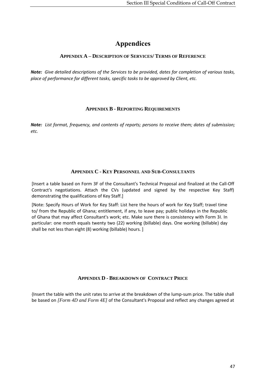## **Appendices**

#### <span id="page-50-1"></span><span id="page-50-0"></span>**APPENDIX A – DESCRIPTION OF SERVICES/ TERMS OF REFERENCE**

<span id="page-50-2"></span>*Note: Give detailed descriptions of the Services to be provided, dates for completion of various tasks, place of performance for different tasks, specific tasks to be approved by Client, etc.*

#### **APPENDIX B - REPORTING REQUIREMENTS**

<span id="page-50-3"></span>*Note: List format, frequency, and contents of reports; persons to receive them; dates of submission; etc.* 

#### **APPENDIX C - KEY PERSONNEL AND SUB-CONSULTANTS**

[Insert a table based on Form 3F of the Consultant's Technical Proposal and finalized at the Call-Off Contract's negotiations. Attach the CVs (updated and signed by the respective Key Staff) demonstrating the qualifications of Key Staff.]

[Note: Specify Hours of Work for Key Staff: List here the hours of work for Key Staff; travel time to/ from the Republic of Ghana; entitlement, if any, to leave pay; public holidays in the Republic of Ghana that may affect Consultant's work; etc. Make sure there is consistency with Form 3I. In particular: one month equals twenty two (22) working (billable) days. One working (billable) day shall be not less than eight (8) working (billable) hours. ]

#### **APPENDIX D - BREAKDOWN OF CONTRACT PRICE**

<span id="page-50-4"></span>{Insert the table with the unit rates to arrive at the breakdown of the lump-sum price. The table shall be based on *[Form 4D and Form 4E]* of the Consultant's Proposal and reflect any changes agreed at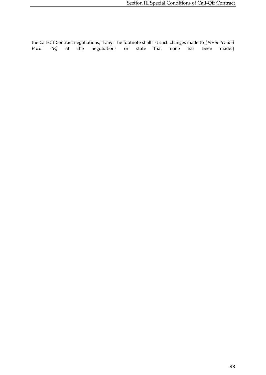the Call-Off Contract negotiations, if any. The footnote shall list such changes made to *[Form 4D and Form 4*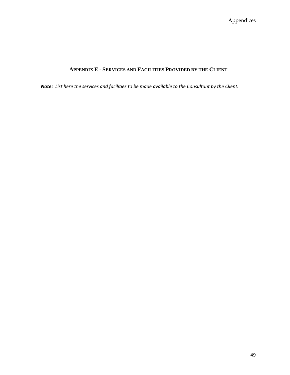#### **APPENDIX E - SERVICES AND FACILITIES PROVIDED BY THE CLIENT**

<span id="page-52-0"></span>*Note: List here the services and facilities to be made available to the Consultant by the Client.*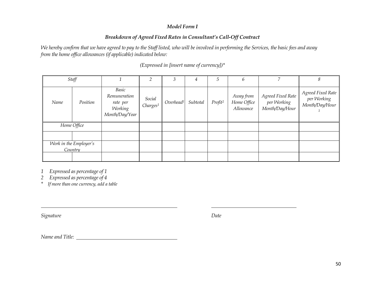#### *Model Form I*

#### *Breakdown of Agreed Fixed Rates in Consultant's Call-Off Contract*

*We hereby confirm that we have agreed to pay to the Staff listed, who will be involved in performing the Services, the basic fees and away from the home office allowances (if applicable) indicated below:*

|      | Staff                             |                                                                |                                | 3                     | 4        | 5                   | 6                                     |                                                    | 8                                                  |
|------|-----------------------------------|----------------------------------------------------------------|--------------------------------|-----------------------|----------|---------------------|---------------------------------------|----------------------------------------------------|----------------------------------------------------|
| Name | Position                          | Basic<br>Remuneration<br>rate per<br>Working<br>Month/Day/Year | Social<br>Charges <sup>1</sup> | Overhead <sup>1</sup> | Subtotal | Profit <sup>2</sup> | Away from<br>Home Office<br>Allowance | Agreed Fixed Rate<br>per Working<br>Month/Day/Hour | Agreed Fixed Rate<br>per Working<br>Month/Day/Hour |
|      | Home Office                       |                                                                |                                |                       |          |                     |                                       |                                                    |                                                    |
|      |                                   |                                                                |                                |                       |          |                     |                                       |                                                    |                                                    |
|      | Work in the Employer's<br>Country |                                                                |                                |                       |          |                     |                                       |                                                    |                                                    |
|      |                                   |                                                                |                                |                       |          |                     |                                       |                                                    |                                                    |

*(Expressed in [insert name of currency])\**

*1 Expressed as percentage of 1*

*2 Expressed as percentage of 4*

*\* If more than one currency, add a table*

*Signature Date*

*Name and Title:*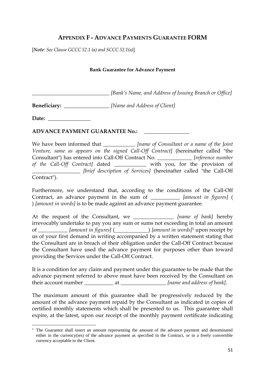### <span id="page-54-0"></span>**APPENDIX F - ADVANCE PAYMENTS GUARANTEE FORM**

[*Note: See Clause GCCC 52.1 (a) and SCCC 52.1(a)*]

#### **Bank Guarantee for Advance Payment**

*\_\_\_\_\_\_\_\_\_\_\_\_\_\_\_\_\_\_\_\_\_\_\_\_\_\_\_\_\_ [Bank's Name, and Address of Issuing Branch or Office]*

**Beneficiary:** \_\_\_\_\_\_\_\_\_\_\_\_\_\_\_\_\_ *[Name and Address of Client]*

Date:

 $\overline{a}$ 

#### **ADVANCE PAYMENT GUARANTEE No.:** \_\_\_\_\_\_\_\_\_\_\_\_\_\_\_\_\_

We have been informed that \_\_\_\_\_\_\_\_\_\_\_\_\_ *[name of Consultant or a name of the Joint Venture, same as appears on the signed Call-Off Contract]* (hereinafter called "the Consultant") has entered into Call-Off Contract No. \_\_\_\_\_\_\_\_\_\_\_\_\_ *[reference number of the Call-Off Contract]* dated \_\_\_\_\_\_\_\_\_\_\_\_ with you, for the provision of \_\_\_\_\_\_\_\_\_\_\_\_\_\_\_\_\_\_ *[brief description of Services]* (hereinafter called "the Call-Off Contract").

Furthermore, we understand that, according to the conditions of the Call-Off Contract, an advance payment in the sum of \_\_\_\_\_\_\_\_\_\_\_ *[amount in figures]* ( ) *[amount in words]* is to be made against an advance payment guarantee.

At the request of the Consultant, we \_\_\_\_\_\_\_\_\_\_\_\_\_\_\_ *[name of bank]* hereby irrevocably undertake to pay you any sum or sums not exceeding in total an amount of \_\_\_\_\_\_\_\_\_\_\_ *[amount in figures]* ( ) *[amount in words]*<sup>1</sup> upon receipt by us of your first demand in writing accompanied by a written statement stating that the Consultant are in breach of their obligation under the Call-Off Contract because the Consultant have used the advance payment for purposes other than toward providing the Services under the Call-Off Contract.

It is a condition for any claim and payment under this guarantee to be made that the advance payment referred to above must have been received by the Consultant on their account number \_\_\_\_\_\_\_\_\_\_\_\_\_ at \_\_\_\_\_\_\_\_\_\_\_\_\_\_\_\_\_\_\_*[name and address of bank]*.

The maximum amount of this guarantee shall be progressively reduced by the amount of the advance payment repaid by the Consultant as indicated in copies of certified monthly statements which shall be presented to us. This guarantee shall expire, at the latest, upon our receipt of the monthly payment certificate indicating

 $1$  The Guarantor shall insert an amount representing the amount of the advance payment and denominated either in the currency(ies) of the advance payment as specified in the Contract, or in a freely convertible currency acceptable to the Client.